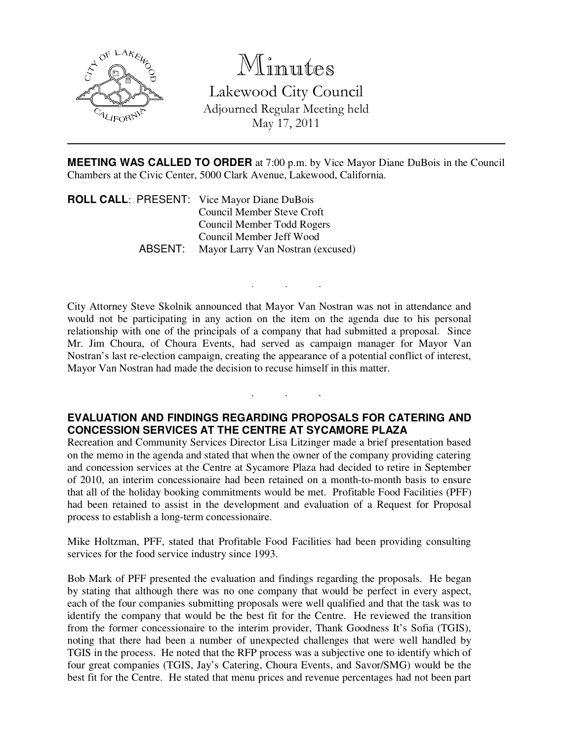

## Minutes

Lakewood City Council Adjourned Regular Meeting held May 17, 2011

**MEETING WAS CALLED TO ORDER** at 7:00 p.m. by Vice Mayor Diane DuBois in the Council Chambers at the Civic Center, 5000 Clark Avenue, Lakewood, California.

. . .

. . .

**ROLL CALL**: PRESENT: Vice Mayor Diane DuBois Council Member Steve Croft Council Member Todd Rogers Council Member Jeff Wood<br>ABSENT: Mavor Larry Van Nostran (e Mayor Larry Van Nostran (excused)

City Attorney Steve Skolnik announced that Mayor Van Nostran was not in attendance and would not be participating in any action on the item on the agenda due to his personal relationship with one of the principals of a company that had submitted a proposal. Since Mr. Jim Choura, of Choura Events, had served as campaign manager for Mayor Van Nostran's last re-election campaign, creating the appearance of a potential conflict of interest, Mayor Van Nostran had made the decision to recuse himself in this matter.

## **EVALUATION AND FINDINGS REGARDING PROPOSALS FOR CATERING AND CONCESSION SERVICES AT THE CENTRE AT SYCAMORE PLAZA**

Recreation and Community Services Director Lisa Litzinger made a brief presentation based on the memo in the agenda and stated that when the owner of the company providing catering and concession services at the Centre at Sycamore Plaza had decided to retire in September of 2010, an interim concessionaire had been retained on a month-to-month basis to ensure that all of the holiday booking commitments would be met. Profitable Food Facilities (PFF) had been retained to assist in the development and evaluation of a Request for Proposal process to establish a long-term concessionaire.

Mike Holtzman, PFF, stated that Profitable Food Facilities had been providing consulting services for the food service industry since 1993.

Bob Mark of PFF presented the evaluation and findings regarding the proposals. He began by stating that although there was no one company that would be perfect in every aspect, each of the four companies submitting proposals were well qualified and that the task was to identify the company that would be the best fit for the Centre. He reviewed the transition from the former concessionaire to the interim provider, Thank Goodness It's Sofia (TGIS), noting that there had been a number of unexpected challenges that were well handled by TGIS in the process. He noted that the RFP process was a subjective one to identify which of four great companies (TGIS, Jay's Catering, Choura Events, and Savor/SMG) would be the best fit for the Centre. He stated that menu prices and revenue percentages had not been part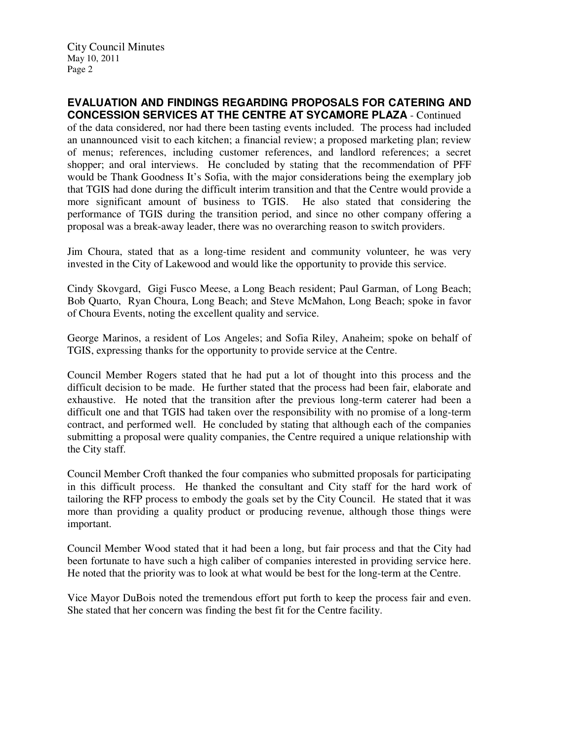City Council Minutes May 10, 2011 Page 2

## **EVALUATION AND FINDINGS REGARDING PROPOSALS FOR CATERING AND CONCESSION SERVICES AT THE CENTRE AT SYCAMORE PLAZA** - Continued

of the data considered, nor had there been tasting events included. The process had included an unannounced visit to each kitchen; a financial review; a proposed marketing plan; review of menus; references, including customer references, and landlord references; a secret shopper; and oral interviews. He concluded by stating that the recommendation of PFF would be Thank Goodness It's Sofia, with the major considerations being the exemplary job that TGIS had done during the difficult interim transition and that the Centre would provide a more significant amount of business to TGIS. He also stated that considering the performance of TGIS during the transition period, and since no other company offering a proposal was a break-away leader, there was no overarching reason to switch providers.

Jim Choura, stated that as a long-time resident and community volunteer, he was very invested in the City of Lakewood and would like the opportunity to provide this service.

Cindy Skovgard, Gigi Fusco Meese, a Long Beach resident; Paul Garman, of Long Beach; Bob Quarto, Ryan Choura, Long Beach; and Steve McMahon, Long Beach; spoke in favor of Choura Events, noting the excellent quality and service.

George Marinos, a resident of Los Angeles; and Sofia Riley, Anaheim; spoke on behalf of TGIS, expressing thanks for the opportunity to provide service at the Centre.

Council Member Rogers stated that he had put a lot of thought into this process and the difficult decision to be made. He further stated that the process had been fair, elaborate and exhaustive. He noted that the transition after the previous long-term caterer had been a difficult one and that TGIS had taken over the responsibility with no promise of a long-term contract, and performed well. He concluded by stating that although each of the companies submitting a proposal were quality companies, the Centre required a unique relationship with the City staff.

Council Member Croft thanked the four companies who submitted proposals for participating in this difficult process. He thanked the consultant and City staff for the hard work of tailoring the RFP process to embody the goals set by the City Council. He stated that it was more than providing a quality product or producing revenue, although those things were important.

Council Member Wood stated that it had been a long, but fair process and that the City had been fortunate to have such a high caliber of companies interested in providing service here. He noted that the priority was to look at what would be best for the long-term at the Centre.

Vice Mayor DuBois noted the tremendous effort put forth to keep the process fair and even. She stated that her concern was finding the best fit for the Centre facility.